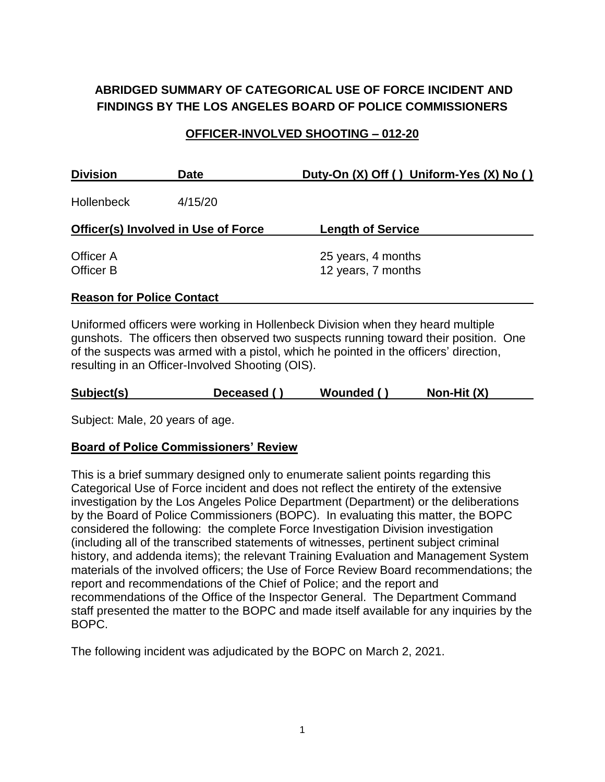## **ABRIDGED SUMMARY OF CATEGORICAL USE OF FORCE INCIDENT AND FINDINGS BY THE LOS ANGELES BOARD OF POLICE COMMISSIONERS**

### **OFFICER-INVOLVED SHOOTING – 012-20**

| <b>Division</b>                            | <b>Date</b> | Duty-On (X) Off () Uniform-Yes (X) No () |  |  |
|--------------------------------------------|-------------|------------------------------------------|--|--|
| <b>Hollenbeck</b>                          | 4/15/20     |                                          |  |  |
| <b>Officer(s) Involved in Use of Force</b> |             | <b>Length of Service</b>                 |  |  |
| Officer A<br>Officer B                     |             | 25 years, 4 months<br>12 years, 7 months |  |  |
|                                            |             |                                          |  |  |

# **Reason for Police Contact**

Uniformed officers were working in Hollenbeck Division when they heard multiple gunshots. The officers then observed two suspects running toward their position. One of the suspects was armed with a pistol, which he pointed in the officers' direction, resulting in an Officer-Involved Shooting (OIS).

| Subject(s)<br>Deceased () | Wounded () | Non-Hit $(X)$ |
|---------------------------|------------|---------------|
|---------------------------|------------|---------------|

Subject: Male, 20 years of age.

## **Board of Police Commissioners' Review**

This is a brief summary designed only to enumerate salient points regarding this Categorical Use of Force incident and does not reflect the entirety of the extensive investigation by the Los Angeles Police Department (Department) or the deliberations by the Board of Police Commissioners (BOPC). In evaluating this matter, the BOPC considered the following: the complete Force Investigation Division investigation (including all of the transcribed statements of witnesses, pertinent subject criminal history, and addenda items); the relevant Training Evaluation and Management System materials of the involved officers; the Use of Force Review Board recommendations; the report and recommendations of the Chief of Police; and the report and recommendations of the Office of the Inspector General. The Department Command staff presented the matter to the BOPC and made itself available for any inquiries by the BOPC.

The following incident was adjudicated by the BOPC on March 2, 2021.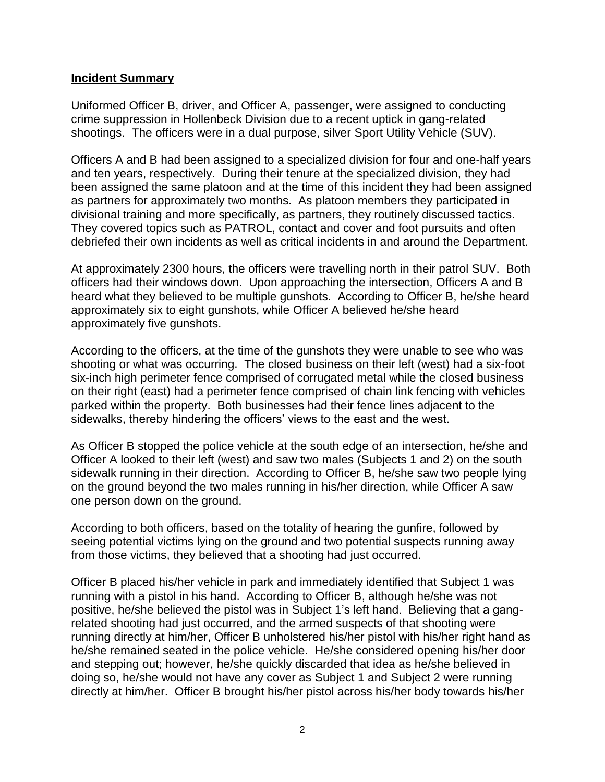#### **Incident Summary**

Uniformed Officer B, driver, and Officer A, passenger, were assigned to conducting crime suppression in Hollenbeck Division due to a recent uptick in gang-related shootings. The officers were in a dual purpose, silver Sport Utility Vehicle (SUV).

Officers A and B had been assigned to a specialized division for four and one-half years and ten years, respectively. During their tenure at the specialized division, they had been assigned the same platoon and at the time of this incident they had been assigned as partners for approximately two months. As platoon members they participated in divisional training and more specifically, as partners, they routinely discussed tactics. They covered topics such as PATROL, contact and cover and foot pursuits and often debriefed their own incidents as well as critical incidents in and around the Department.

At approximately 2300 hours, the officers were travelling north in their patrol SUV. Both officers had their windows down. Upon approaching the intersection, Officers A and B heard what they believed to be multiple gunshots. According to Officer B, he/she heard approximately six to eight gunshots, while Officer A believed he/she heard approximately five gunshots.

According to the officers, at the time of the gunshots they were unable to see who was shooting or what was occurring. The closed business on their left (west) had a six-foot six-inch high perimeter fence comprised of corrugated metal while the closed business on their right (east) had a perimeter fence comprised of chain link fencing with vehicles parked within the property. Both businesses had their fence lines adjacent to the sidewalks, thereby hindering the officers' views to the east and the west.

As Officer B stopped the police vehicle at the south edge of an intersection, he/she and Officer A looked to their left (west) and saw two males (Subjects 1 and 2) on the south sidewalk running in their direction. According to Officer B, he/she saw two people lying on the ground beyond the two males running in his/her direction, while Officer A saw one person down on the ground.

According to both officers, based on the totality of hearing the gunfire, followed by seeing potential victims lying on the ground and two potential suspects running away from those victims, they believed that a shooting had just occurred.

Officer B placed his/her vehicle in park and immediately identified that Subject 1 was running with a pistol in his hand. According to Officer B, although he/she was not positive, he/she believed the pistol was in Subject 1's left hand. Believing that a gangrelated shooting had just occurred, and the armed suspects of that shooting were running directly at him/her, Officer B unholstered his/her pistol with his/her right hand as he/she remained seated in the police vehicle. He/she considered opening his/her door and stepping out; however, he/she quickly discarded that idea as he/she believed in doing so, he/she would not have any cover as Subject 1 and Subject 2 were running directly at him/her. Officer B brought his/her pistol across his/her body towards his/her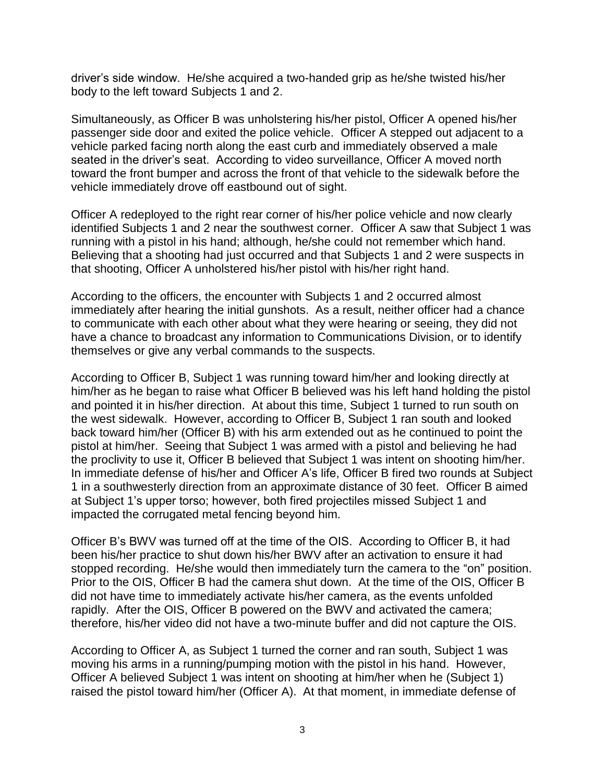driver's side window. He/she acquired a two-handed grip as he/she twisted his/her body to the left toward Subjects 1 and 2.

Simultaneously, as Officer B was unholstering his/her pistol, Officer A opened his/her passenger side door and exited the police vehicle. Officer A stepped out adjacent to a vehicle parked facing north along the east curb and immediately observed a male seated in the driver's seat. According to video surveillance, Officer A moved north toward the front bumper and across the front of that vehicle to the sidewalk before the vehicle immediately drove off eastbound out of sight.

Officer A redeployed to the right rear corner of his/her police vehicle and now clearly identified Subjects 1 and 2 near the southwest corner. Officer A saw that Subject 1 was running with a pistol in his hand; although, he/she could not remember which hand. Believing that a shooting had just occurred and that Subjects 1 and 2 were suspects in that shooting, Officer A unholstered his/her pistol with his/her right hand.

According to the officers, the encounter with Subjects 1 and 2 occurred almost immediately after hearing the initial gunshots. As a result, neither officer had a chance to communicate with each other about what they were hearing or seeing, they did not have a chance to broadcast any information to Communications Division, or to identify themselves or give any verbal commands to the suspects.

According to Officer B, Subject 1 was running toward him/her and looking directly at him/her as he began to raise what Officer B believed was his left hand holding the pistol and pointed it in his/her direction. At about this time, Subject 1 turned to run south on the west sidewalk. However, according to Officer B, Subject 1 ran south and looked back toward him/her (Officer B) with his arm extended out as he continued to point the pistol at him/her. Seeing that Subject 1 was armed with a pistol and believing he had the proclivity to use it, Officer B believed that Subject 1 was intent on shooting him/her. In immediate defense of his/her and Officer A's life, Officer B fired two rounds at Subject 1 in a southwesterly direction from an approximate distance of 30 feet. Officer B aimed at Subject 1's upper torso; however, both fired projectiles missed Subject 1 and impacted the corrugated metal fencing beyond him.

Officer B's BWV was turned off at the time of the OIS. According to Officer B, it had been his/her practice to shut down his/her BWV after an activation to ensure it had stopped recording. He/she would then immediately turn the camera to the "on" position. Prior to the OIS, Officer B had the camera shut down. At the time of the OIS, Officer B did not have time to immediately activate his/her camera, as the events unfolded rapidly. After the OIS, Officer B powered on the BWV and activated the camera; therefore, his/her video did not have a two-minute buffer and did not capture the OIS.

According to Officer A, as Subject 1 turned the corner and ran south, Subject 1 was moving his arms in a running/pumping motion with the pistol in his hand. However, Officer A believed Subject 1 was intent on shooting at him/her when he (Subject 1) raised the pistol toward him/her (Officer A). At that moment, in immediate defense of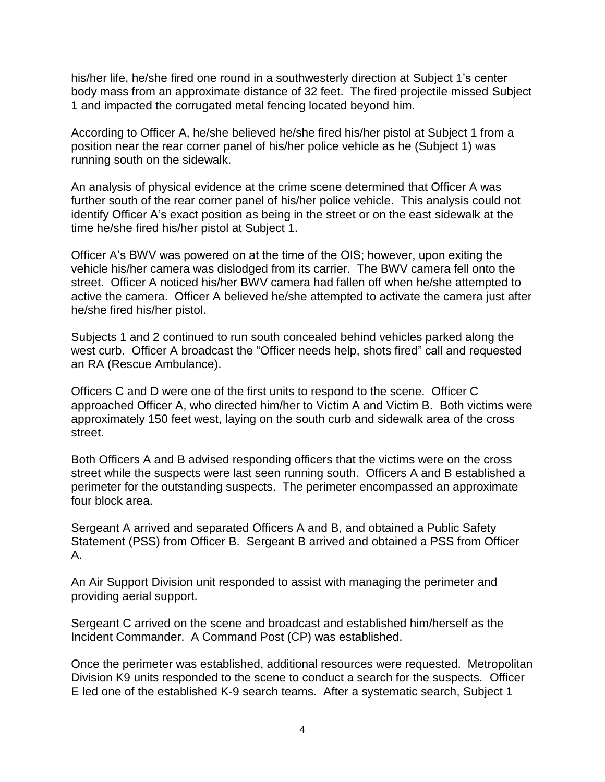his/her life, he/she fired one round in a southwesterly direction at Subject 1's center body mass from an approximate distance of 32 feet. The fired projectile missed Subject 1 and impacted the corrugated metal fencing located beyond him.

According to Officer A, he/she believed he/she fired his/her pistol at Subject 1 from a position near the rear corner panel of his/her police vehicle as he (Subject 1) was running south on the sidewalk.

An analysis of physical evidence at the crime scene determined that Officer A was further south of the rear corner panel of his/her police vehicle. This analysis could not identify Officer A's exact position as being in the street or on the east sidewalk at the time he/she fired his/her pistol at Subject 1.

Officer A's BWV was powered on at the time of the OIS; however, upon exiting the vehicle his/her camera was dislodged from its carrier. The BWV camera fell onto the street. Officer A noticed his/her BWV camera had fallen off when he/she attempted to active the camera. Officer A believed he/she attempted to activate the camera just after he/she fired his/her pistol.

Subjects 1 and 2 continued to run south concealed behind vehicles parked along the west curb. Officer A broadcast the "Officer needs help, shots fired" call and requested an RA (Rescue Ambulance).

Officers C and D were one of the first units to respond to the scene. Officer C approached Officer A, who directed him/her to Victim A and Victim B. Both victims were approximately 150 feet west, laying on the south curb and sidewalk area of the cross street.

Both Officers A and B advised responding officers that the victims were on the cross street while the suspects were last seen running south. Officers A and B established a perimeter for the outstanding suspects. The perimeter encompassed an approximate four block area.

Sergeant A arrived and separated Officers A and B, and obtained a Public Safety Statement (PSS) from Officer B. Sergeant B arrived and obtained a PSS from Officer A.

An Air Support Division unit responded to assist with managing the perimeter and providing aerial support.

Sergeant C arrived on the scene and broadcast and established him/herself as the Incident Commander. A Command Post (CP) was established.

Once the perimeter was established, additional resources were requested. Metropolitan Division K9 units responded to the scene to conduct a search for the suspects. Officer E led one of the established K-9 search teams. After a systematic search, Subject 1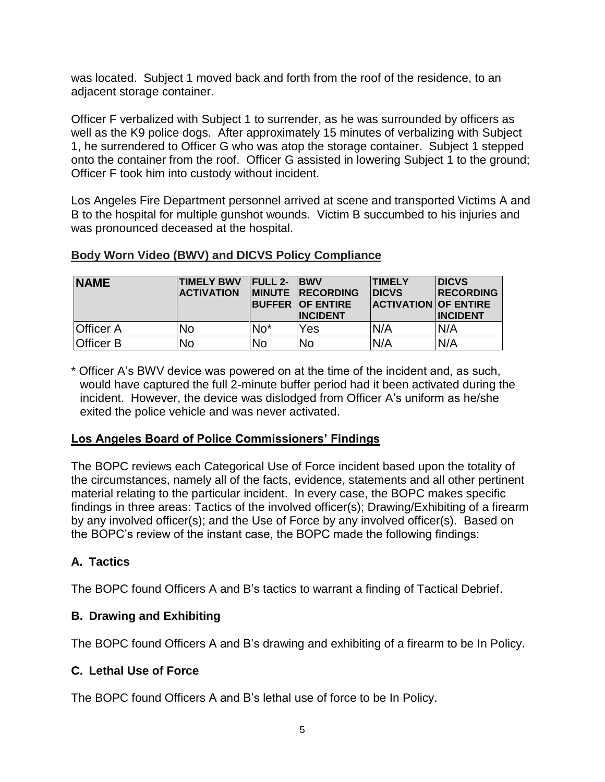was located. Subject 1 moved back and forth from the roof of the residence, to an adjacent storage container.

Officer F verbalized with Subject 1 to surrender, as he was surrounded by officers as well as the K9 police dogs. After approximately 15 minutes of verbalizing with Subject 1, he surrendered to Officer G who was atop the storage container. Subject 1 stepped onto the container from the roof. Officer G assisted in lowering Subject 1 to the ground; Officer F took him into custody without incident.

Los Angeles Fire Department personnel arrived at scene and transported Victims A and B to the hospital for multiple gunshot wounds. Victim B succumbed to his injuries and was pronounced deceased at the hospital.

| <b>NAME</b>      | TIMELY BWV   FULL 2-<br><b>ACTIVATION</b> |       | <b>IBWV</b><br><b>IMINUTE RECORDING</b><br><b>BUFFER OF ENTIRE</b><br><b>INCIDENT</b> | <b>TIMELY</b><br><b>IDICVS</b><br><b>ACTIVATION OF ENTIRE</b> | <b>IDICVS</b><br><b>IRECORDING</b><br><b>INCIDENT</b> |
|------------------|-------------------------------------------|-------|---------------------------------------------------------------------------------------|---------------------------------------------------------------|-------------------------------------------------------|
| <b>Officer A</b> | No                                        | $No*$ | Yes                                                                                   | N/A                                                           | N/A                                                   |
| <b>Officer B</b> | No                                        | No    | <b>No</b>                                                                             | N/A                                                           | N/A                                                   |

## **Body Worn Video (BWV) and DICVS Policy Compliance**

\* Officer A's BWV device was powered on at the time of the incident and, as such, would have captured the full 2-minute buffer period had it been activated during the incident. However, the device was dislodged from Officer A's uniform as he/she exited the police vehicle and was never activated.

#### **Los Angeles Board of Police Commissioners' Findings**

The BOPC reviews each Categorical Use of Force incident based upon the totality of the circumstances, namely all of the facts, evidence, statements and all other pertinent material relating to the particular incident. In every case, the BOPC makes specific findings in three areas: Tactics of the involved officer(s); Drawing/Exhibiting of a firearm by any involved officer(s); and the Use of Force by any involved officer(s). Based on the BOPC's review of the instant case, the BOPC made the following findings:

## **A. Tactics**

The BOPC found Officers A and B's tactics to warrant a finding of Tactical Debrief.

## **B. Drawing and Exhibiting**

The BOPC found Officers A and B's drawing and exhibiting of a firearm to be In Policy.

## **C. Lethal Use of Force**

The BOPC found Officers A and B's lethal use of force to be In Policy.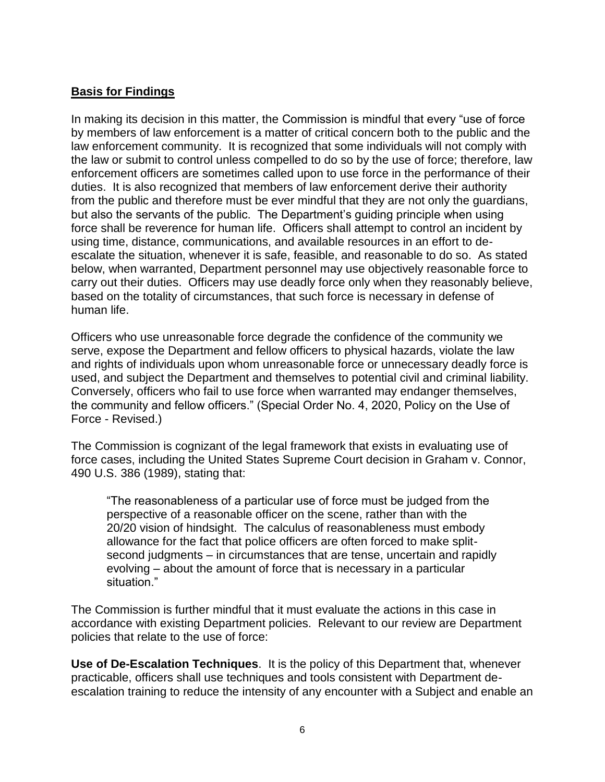## **Basis for Findings**

In making its decision in this matter, the Commission is mindful that every "use of force by members of law enforcement is a matter of critical concern both to the public and the law enforcement community. It is recognized that some individuals will not comply with the law or submit to control unless compelled to do so by the use of force; therefore, law enforcement officers are sometimes called upon to use force in the performance of their duties. It is also recognized that members of law enforcement derive their authority from the public and therefore must be ever mindful that they are not only the guardians, but also the servants of the public. The Department's guiding principle when using force shall be reverence for human life. Officers shall attempt to control an incident by using time, distance, communications, and available resources in an effort to deescalate the situation, whenever it is safe, feasible, and reasonable to do so. As stated below, when warranted, Department personnel may use objectively reasonable force to carry out their duties. Officers may use deadly force only when they reasonably believe, based on the totality of circumstances, that such force is necessary in defense of human life.

Officers who use unreasonable force degrade the confidence of the community we serve, expose the Department and fellow officers to physical hazards, violate the law and rights of individuals upon whom unreasonable force or unnecessary deadly force is used, and subject the Department and themselves to potential civil and criminal liability. Conversely, officers who fail to use force when warranted may endanger themselves, the community and fellow officers." (Special Order No. 4, 2020, Policy on the Use of Force - Revised.)

The Commission is cognizant of the legal framework that exists in evaluating use of force cases, including the United States Supreme Court decision in Graham v. Connor, 490 U.S. 386 (1989), stating that:

"The reasonableness of a particular use of force must be judged from the perspective of a reasonable officer on the scene, rather than with the 20/20 vision of hindsight. The calculus of reasonableness must embody allowance for the fact that police officers are often forced to make splitsecond judgments – in circumstances that are tense, uncertain and rapidly evolving – about the amount of force that is necessary in a particular situation."

The Commission is further mindful that it must evaluate the actions in this case in accordance with existing Department policies. Relevant to our review are Department policies that relate to the use of force:

**Use of De-Escalation Techniques**. It is the policy of this Department that, whenever practicable, officers shall use techniques and tools consistent with Department deescalation training to reduce the intensity of any encounter with a Subject and enable an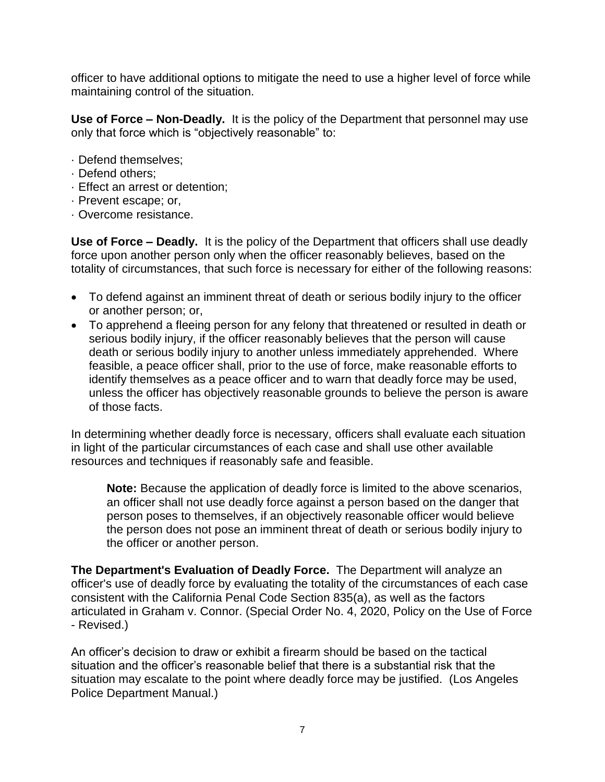officer to have additional options to mitigate the need to use a higher level of force while maintaining control of the situation.

**Use of Force – Non-Deadly.** It is the policy of the Department that personnel may use only that force which is "objectively reasonable" to:

- · Defend themselves;
- · Defend others;
- · Effect an arrest or detention;
- · Prevent escape; or,
- · Overcome resistance.

**Use of Force – Deadly.** It is the policy of the Department that officers shall use deadly force upon another person only when the officer reasonably believes, based on the totality of circumstances, that such force is necessary for either of the following reasons:

- To defend against an imminent threat of death or serious bodily injury to the officer or another person; or,
- To apprehend a fleeing person for any felony that threatened or resulted in death or serious bodily injury, if the officer reasonably believes that the person will cause death or serious bodily injury to another unless immediately apprehended. Where feasible, a peace officer shall, prior to the use of force, make reasonable efforts to identify themselves as a peace officer and to warn that deadly force may be used, unless the officer has objectively reasonable grounds to believe the person is aware of those facts.

In determining whether deadly force is necessary, officers shall evaluate each situation in light of the particular circumstances of each case and shall use other available resources and techniques if reasonably safe and feasible.

**Note:** Because the application of deadly force is limited to the above scenarios, an officer shall not use deadly force against a person based on the danger that person poses to themselves, if an objectively reasonable officer would believe the person does not pose an imminent threat of death or serious bodily injury to the officer or another person.

**The Department's Evaluation of Deadly Force.** The Department will analyze an officer's use of deadly force by evaluating the totality of the circumstances of each case consistent with the California Penal Code Section 835(a), as well as the factors articulated in Graham v. Connor. (Special Order No. 4, 2020, Policy on the Use of Force - Revised.)

An officer's decision to draw or exhibit a firearm should be based on the tactical situation and the officer's reasonable belief that there is a substantial risk that the situation may escalate to the point where deadly force may be justified. (Los Angeles Police Department Manual.)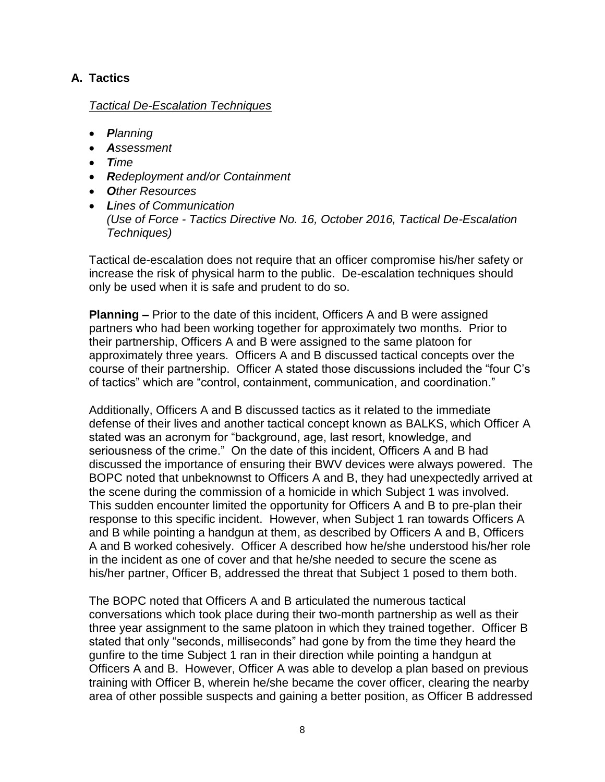## **A. Tactics**

#### *Tactical De-Escalation Techniques*

- *Planning*
- *Assessment*
- *Time*
- *Redeployment and/or Containment*
- *Other Resources*
- *Lines of Communication (Use of Force - Tactics Directive No. 16, October 2016, Tactical De-Escalation Techniques)*

Tactical de-escalation does not require that an officer compromise his/her safety or increase the risk of physical harm to the public. De-escalation techniques should only be used when it is safe and prudent to do so.

**Planning –** Prior to the date of this incident, Officers A and B were assigned partners who had been working together for approximately two months. Prior to their partnership, Officers A and B were assigned to the same platoon for approximately three years. Officers A and B discussed tactical concepts over the course of their partnership. Officer A stated those discussions included the "four C's of tactics" which are "control, containment, communication, and coordination."

Additionally, Officers A and B discussed tactics as it related to the immediate defense of their lives and another tactical concept known as BALKS, which Officer A stated was an acronym for "background, age, last resort, knowledge, and seriousness of the crime." On the date of this incident, Officers A and B had discussed the importance of ensuring their BWV devices were always powered. The BOPC noted that unbeknownst to Officers A and B, they had unexpectedly arrived at the scene during the commission of a homicide in which Subject 1 was involved. This sudden encounter limited the opportunity for Officers A and B to pre-plan their response to this specific incident. However, when Subject 1 ran towards Officers A and B while pointing a handgun at them, as described by Officers A and B, Officers A and B worked cohesively. Officer A described how he/she understood his/her role in the incident as one of cover and that he/she needed to secure the scene as his/her partner, Officer B, addressed the threat that Subject 1 posed to them both.

The BOPC noted that Officers A and B articulated the numerous tactical conversations which took place during their two-month partnership as well as their three year assignment to the same platoon in which they trained together. Officer B stated that only "seconds, milliseconds" had gone by from the time they heard the gunfire to the time Subject 1 ran in their direction while pointing a handgun at Officers A and B. However, Officer A was able to develop a plan based on previous training with Officer B, wherein he/she became the cover officer, clearing the nearby area of other possible suspects and gaining a better position, as Officer B addressed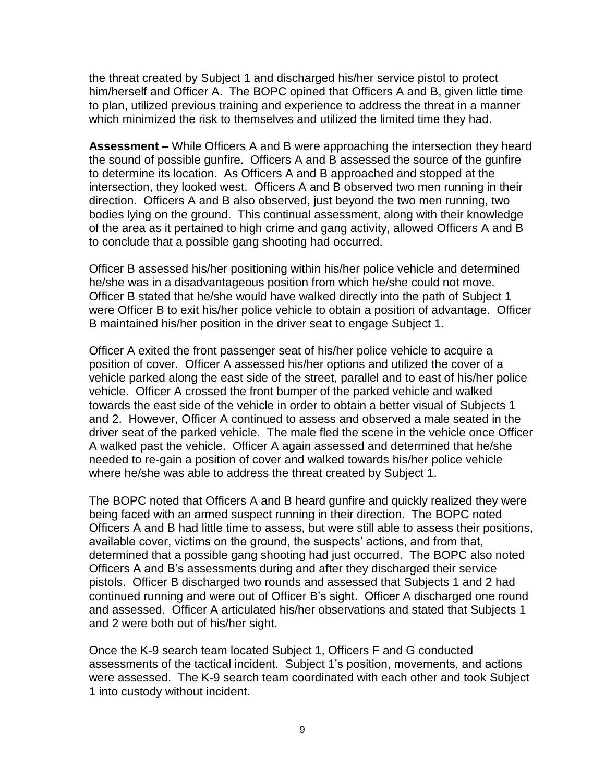the threat created by Subject 1 and discharged his/her service pistol to protect him/herself and Officer A. The BOPC opined that Officers A and B, given little time to plan, utilized previous training and experience to address the threat in a manner which minimized the risk to themselves and utilized the limited time they had.

**Assessment –** While Officers A and B were approaching the intersection they heard the sound of possible gunfire. Officers A and B assessed the source of the gunfire to determine its location. As Officers A and B approached and stopped at the intersection, they looked west. Officers A and B observed two men running in their direction. Officers A and B also observed, just beyond the two men running, two bodies lying on the ground. This continual assessment, along with their knowledge of the area as it pertained to high crime and gang activity, allowed Officers A and B to conclude that a possible gang shooting had occurred.

Officer B assessed his/her positioning within his/her police vehicle and determined he/she was in a disadvantageous position from which he/she could not move. Officer B stated that he/she would have walked directly into the path of Subject 1 were Officer B to exit his/her police vehicle to obtain a position of advantage. Officer B maintained his/her position in the driver seat to engage Subject 1.

Officer A exited the front passenger seat of his/her police vehicle to acquire a position of cover. Officer A assessed his/her options and utilized the cover of a vehicle parked along the east side of the street, parallel and to east of his/her police vehicle. Officer A crossed the front bumper of the parked vehicle and walked towards the east side of the vehicle in order to obtain a better visual of Subjects 1 and 2. However, Officer A continued to assess and observed a male seated in the driver seat of the parked vehicle. The male fled the scene in the vehicle once Officer A walked past the vehicle. Officer A again assessed and determined that he/she needed to re-gain a position of cover and walked towards his/her police vehicle where he/she was able to address the threat created by Subject 1.

The BOPC noted that Officers A and B heard gunfire and quickly realized they were being faced with an armed suspect running in their direction. The BOPC noted Officers A and B had little time to assess, but were still able to assess their positions, available cover, victims on the ground, the suspects' actions, and from that, determined that a possible gang shooting had just occurred. The BOPC also noted Officers A and B's assessments during and after they discharged their service pistols. Officer B discharged two rounds and assessed that Subjects 1 and 2 had continued running and were out of Officer B's sight. Officer A discharged one round and assessed. Officer A articulated his/her observations and stated that Subjects 1 and 2 were both out of his/her sight.

Once the K-9 search team located Subject 1, Officers F and G conducted assessments of the tactical incident. Subject 1's position, movements, and actions were assessed. The K-9 search team coordinated with each other and took Subject 1 into custody without incident.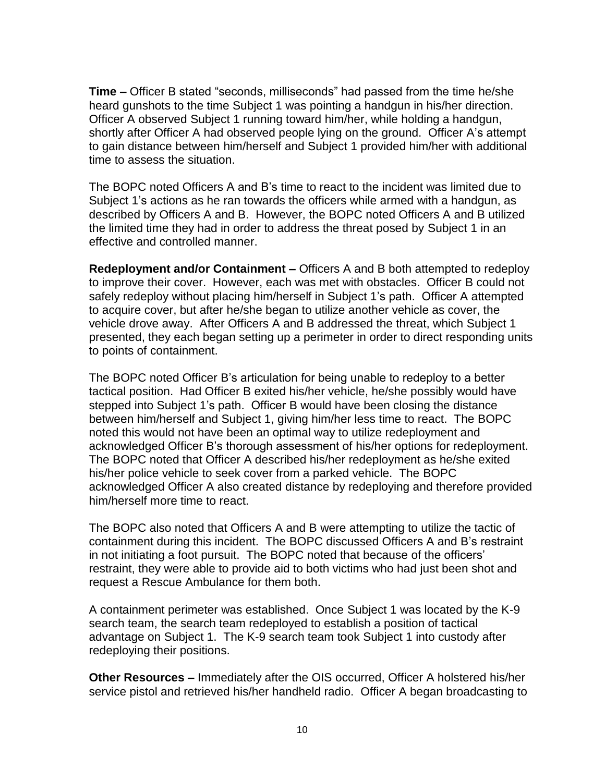**Time –** Officer B stated "seconds, milliseconds" had passed from the time he/she heard gunshots to the time Subject 1 was pointing a handgun in his/her direction. Officer A observed Subject 1 running toward him/her, while holding a handgun, shortly after Officer A had observed people lying on the ground. Officer A's attempt to gain distance between him/herself and Subject 1 provided him/her with additional time to assess the situation.

The BOPC noted Officers A and B's time to react to the incident was limited due to Subject 1's actions as he ran towards the officers while armed with a handgun, as described by Officers A and B. However, the BOPC noted Officers A and B utilized the limited time they had in order to address the threat posed by Subject 1 in an effective and controlled manner.

**Redeployment and/or Containment –** Officers A and B both attempted to redeploy to improve their cover. However, each was met with obstacles. Officer B could not safely redeploy without placing him/herself in Subject 1's path. Officer A attempted to acquire cover, but after he/she began to utilize another vehicle as cover, the vehicle drove away. After Officers A and B addressed the threat, which Subject 1 presented, they each began setting up a perimeter in order to direct responding units to points of containment.

The BOPC noted Officer B's articulation for being unable to redeploy to a better tactical position. Had Officer B exited his/her vehicle, he/she possibly would have stepped into Subject 1's path. Officer B would have been closing the distance between him/herself and Subject 1, giving him/her less time to react. The BOPC noted this would not have been an optimal way to utilize redeployment and acknowledged Officer B's thorough assessment of his/her options for redeployment. The BOPC noted that Officer A described his/her redeployment as he/she exited his/her police vehicle to seek cover from a parked vehicle. The BOPC acknowledged Officer A also created distance by redeploying and therefore provided him/herself more time to react.

The BOPC also noted that Officers A and B were attempting to utilize the tactic of containment during this incident. The BOPC discussed Officers A and B's restraint in not initiating a foot pursuit. The BOPC noted that because of the officers' restraint, they were able to provide aid to both victims who had just been shot and request a Rescue Ambulance for them both.

A containment perimeter was established. Once Subject 1 was located by the K-9 search team, the search team redeployed to establish a position of tactical advantage on Subject 1. The K-9 search team took Subject 1 into custody after redeploying their positions.

**Other Resources –** Immediately after the OIS occurred, Officer A holstered his/her service pistol and retrieved his/her handheld radio. Officer A began broadcasting to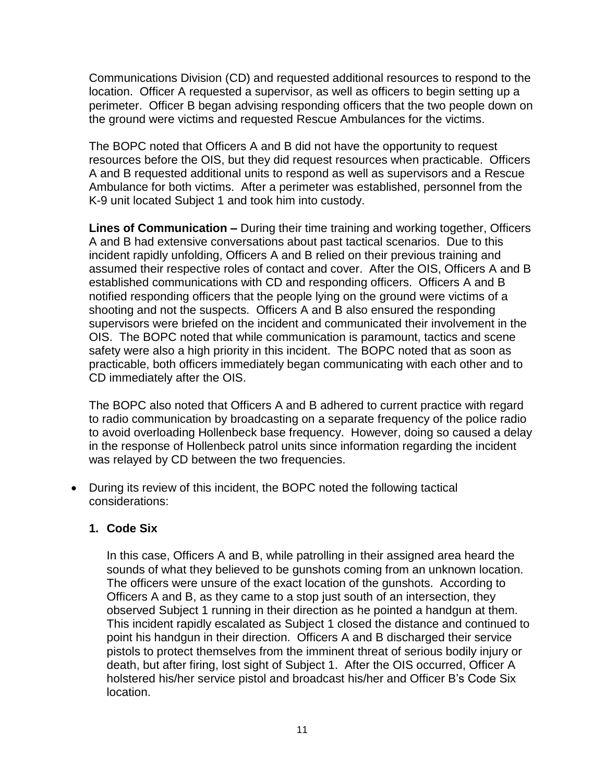Communications Division (CD) and requested additional resources to respond to the location. Officer A requested a supervisor, as well as officers to begin setting up a perimeter. Officer B began advising responding officers that the two people down on the ground were victims and requested Rescue Ambulances for the victims.

The BOPC noted that Officers A and B did not have the opportunity to request resources before the OIS, but they did request resources when practicable. Officers A and B requested additional units to respond as well as supervisors and a Rescue Ambulance for both victims. After a perimeter was established, personnel from the K-9 unit located Subject 1 and took him into custody.

**Lines of Communication –** During their time training and working together, Officers A and B had extensive conversations about past tactical scenarios. Due to this incident rapidly unfolding, Officers A and B relied on their previous training and assumed their respective roles of contact and cover. After the OIS, Officers A and B established communications with CD and responding officers. Officers A and B notified responding officers that the people lying on the ground were victims of a shooting and not the suspects. Officers A and B also ensured the responding supervisors were briefed on the incident and communicated their involvement in the OIS. The BOPC noted that while communication is paramount, tactics and scene safety were also a high priority in this incident. The BOPC noted that as soon as practicable, both officers immediately began communicating with each other and to CD immediately after the OIS.

The BOPC also noted that Officers A and B adhered to current practice with regard to radio communication by broadcasting on a separate frequency of the police radio to avoid overloading Hollenbeck base frequency. However, doing so caused a delay in the response of Hollenbeck patrol units since information regarding the incident was relayed by CD between the two frequencies.

• During its review of this incident, the BOPC noted the following tactical considerations:

## **1. Code Six**

In this case, Officers A and B, while patrolling in their assigned area heard the sounds of what they believed to be gunshots coming from an unknown location. The officers were unsure of the exact location of the gunshots. According to Officers A and B, as they came to a stop just south of an intersection, they observed Subject 1 running in their direction as he pointed a handgun at them. This incident rapidly escalated as Subject 1 closed the distance and continued to point his handgun in their direction. Officers A and B discharged their service pistols to protect themselves from the imminent threat of serious bodily injury or death, but after firing, lost sight of Subject 1. After the OIS occurred, Officer A holstered his/her service pistol and broadcast his/her and Officer B's Code Six location.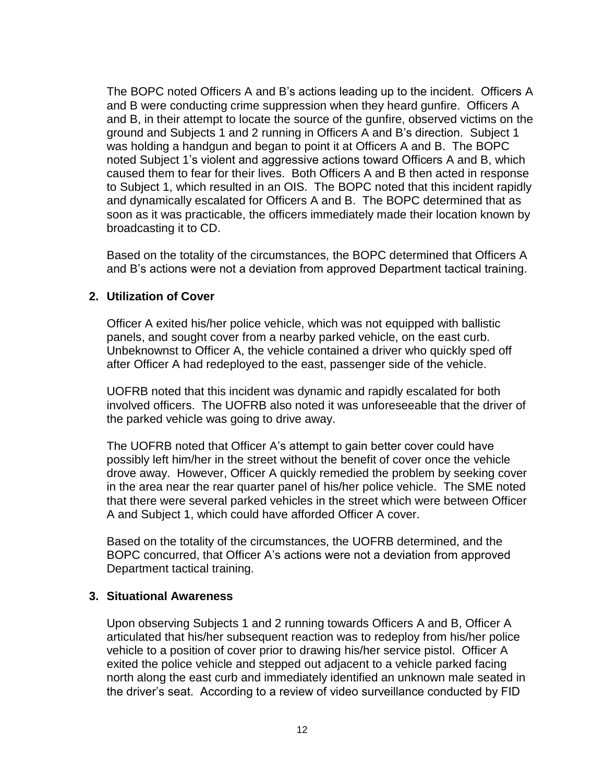The BOPC noted Officers A and B's actions leading up to the incident. Officers A and B were conducting crime suppression when they heard gunfire. Officers A and B, in their attempt to locate the source of the gunfire, observed victims on the ground and Subjects 1 and 2 running in Officers A and B's direction. Subject 1 was holding a handgun and began to point it at Officers A and B. The BOPC noted Subject 1's violent and aggressive actions toward Officers A and B, which caused them to fear for their lives. Both Officers A and B then acted in response to Subject 1, which resulted in an OIS. The BOPC noted that this incident rapidly and dynamically escalated for Officers A and B. The BOPC determined that as soon as it was practicable, the officers immediately made their location known by broadcasting it to CD.

Based on the totality of the circumstances, the BOPC determined that Officers A and B's actions were not a deviation from approved Department tactical training.

#### **2. Utilization of Cover**

Officer A exited his/her police vehicle, which was not equipped with ballistic panels, and sought cover from a nearby parked vehicle, on the east curb. Unbeknownst to Officer A, the vehicle contained a driver who quickly sped off after Officer A had redeployed to the east, passenger side of the vehicle.

UOFRB noted that this incident was dynamic and rapidly escalated for both involved officers. The UOFRB also noted it was unforeseeable that the driver of the parked vehicle was going to drive away.

The UOFRB noted that Officer A's attempt to gain better cover could have possibly left him/her in the street without the benefit of cover once the vehicle drove away. However, Officer A quickly remedied the problem by seeking cover in the area near the rear quarter panel of his/her police vehicle. The SME noted that there were several parked vehicles in the street which were between Officer A and Subject 1, which could have afforded Officer A cover.

Based on the totality of the circumstances, the UOFRB determined, and the BOPC concurred, that Officer A's actions were not a deviation from approved Department tactical training.

#### **3. Situational Awareness**

Upon observing Subjects 1 and 2 running towards Officers A and B, Officer A articulated that his/her subsequent reaction was to redeploy from his/her police vehicle to a position of cover prior to drawing his/her service pistol. Officer A exited the police vehicle and stepped out adjacent to a vehicle parked facing north along the east curb and immediately identified an unknown male seated in the driver's seat. According to a review of video surveillance conducted by FID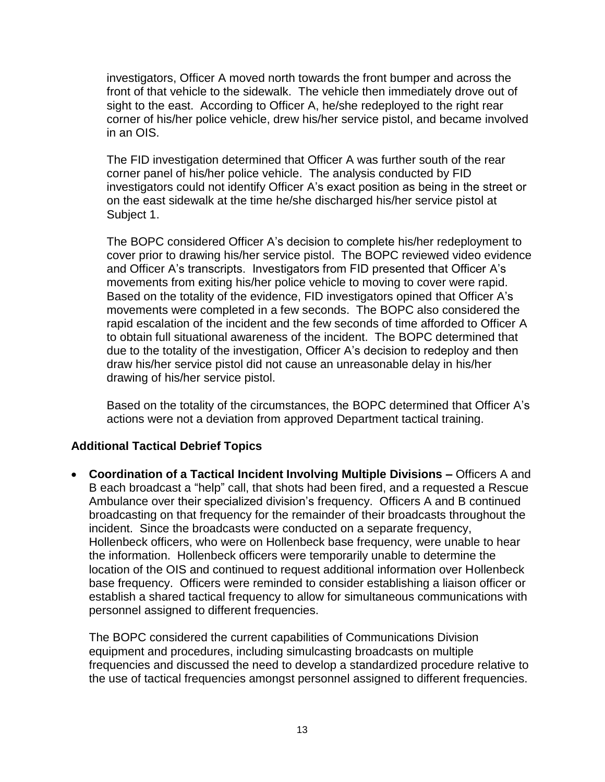investigators, Officer A moved north towards the front bumper and across the front of that vehicle to the sidewalk. The vehicle then immediately drove out of sight to the east. According to Officer A, he/she redeployed to the right rear corner of his/her police vehicle, drew his/her service pistol, and became involved in an OIS.

The FID investigation determined that Officer A was further south of the rear corner panel of his/her police vehicle. The analysis conducted by FID investigators could not identify Officer A's exact position as being in the street or on the east sidewalk at the time he/she discharged his/her service pistol at Subject 1.

The BOPC considered Officer A's decision to complete his/her redeployment to cover prior to drawing his/her service pistol. The BOPC reviewed video evidence and Officer A's transcripts. Investigators from FID presented that Officer A's movements from exiting his/her police vehicle to moving to cover were rapid. Based on the totality of the evidence, FID investigators opined that Officer A's movements were completed in a few seconds. The BOPC also considered the rapid escalation of the incident and the few seconds of time afforded to Officer A to obtain full situational awareness of the incident. The BOPC determined that due to the totality of the investigation, Officer A's decision to redeploy and then draw his/her service pistol did not cause an unreasonable delay in his/her drawing of his/her service pistol.

Based on the totality of the circumstances, the BOPC determined that Officer A's actions were not a deviation from approved Department tactical training.

## **Additional Tactical Debrief Topics**

• **Coordination of a Tactical Incident Involving Multiple Divisions –** Officers A and B each broadcast a "help" call, that shots had been fired, and a requested a Rescue Ambulance over their specialized division's frequency. Officers A and B continued broadcasting on that frequency for the remainder of their broadcasts throughout the incident. Since the broadcasts were conducted on a separate frequency, Hollenbeck officers, who were on Hollenbeck base frequency, were unable to hear the information. Hollenbeck officers were temporarily unable to determine the location of the OIS and continued to request additional information over Hollenbeck base frequency. Officers were reminded to consider establishing a liaison officer or establish a shared tactical frequency to allow for simultaneous communications with personnel assigned to different frequencies.

The BOPC considered the current capabilities of Communications Division equipment and procedures, including simulcasting broadcasts on multiple frequencies and discussed the need to develop a standardized procedure relative to the use of tactical frequencies amongst personnel assigned to different frequencies.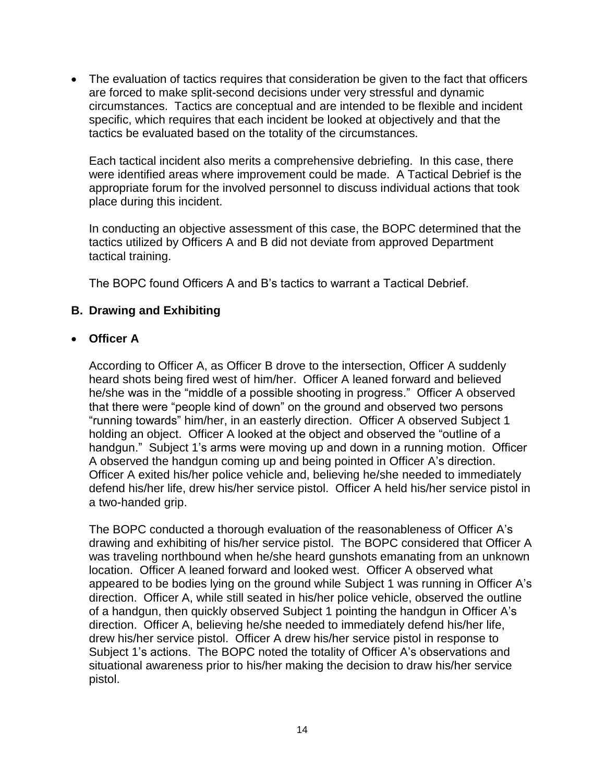• The evaluation of tactics requires that consideration be given to the fact that officers are forced to make split-second decisions under very stressful and dynamic circumstances. Tactics are conceptual and are intended to be flexible and incident specific, which requires that each incident be looked at objectively and that the tactics be evaluated based on the totality of the circumstances.

Each tactical incident also merits a comprehensive debriefing. In this case, there were identified areas where improvement could be made. A Tactical Debrief is the appropriate forum for the involved personnel to discuss individual actions that took place during this incident.

In conducting an objective assessment of this case, the BOPC determined that the tactics utilized by Officers A and B did not deviate from approved Department tactical training.

The BOPC found Officers A and B's tactics to warrant a Tactical Debrief.

## **B. Drawing and Exhibiting**

#### • **Officer A**

According to Officer A, as Officer B drove to the intersection, Officer A suddenly heard shots being fired west of him/her. Officer A leaned forward and believed he/she was in the "middle of a possible shooting in progress." Officer A observed that there were "people kind of down" on the ground and observed two persons "running towards" him/her, in an easterly direction. Officer A observed Subject 1 holding an object. Officer A looked at the object and observed the "outline of a handgun." Subject 1's arms were moving up and down in a running motion. Officer A observed the handgun coming up and being pointed in Officer A's direction. Officer A exited his/her police vehicle and, believing he/she needed to immediately defend his/her life, drew his/her service pistol. Officer A held his/her service pistol in a two-handed grip.

The BOPC conducted a thorough evaluation of the reasonableness of Officer A's drawing and exhibiting of his/her service pistol. The BOPC considered that Officer A was traveling northbound when he/she heard gunshots emanating from an unknown location. Officer A leaned forward and looked west. Officer A observed what appeared to be bodies lying on the ground while Subject 1 was running in Officer A's direction. Officer A, while still seated in his/her police vehicle, observed the outline of a handgun, then quickly observed Subject 1 pointing the handgun in Officer A's direction. Officer A, believing he/she needed to immediately defend his/her life, drew his/her service pistol. Officer A drew his/her service pistol in response to Subject 1's actions. The BOPC noted the totality of Officer A's observations and situational awareness prior to his/her making the decision to draw his/her service pistol.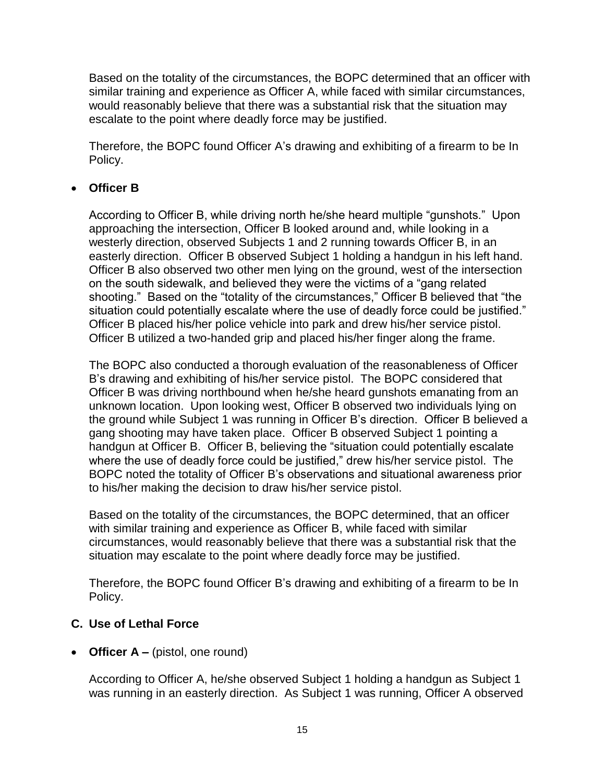Based on the totality of the circumstances, the BOPC determined that an officer with similar training and experience as Officer A, while faced with similar circumstances, would reasonably believe that there was a substantial risk that the situation may escalate to the point where deadly force may be justified.

Therefore, the BOPC found Officer A's drawing and exhibiting of a firearm to be In Policy.

## • **Officer B**

According to Officer B, while driving north he/she heard multiple "gunshots." Upon approaching the intersection, Officer B looked around and, while looking in a westerly direction, observed Subjects 1 and 2 running towards Officer B, in an easterly direction. Officer B observed Subject 1 holding a handgun in his left hand. Officer B also observed two other men lying on the ground, west of the intersection on the south sidewalk, and believed they were the victims of a "gang related shooting." Based on the "totality of the circumstances," Officer B believed that "the situation could potentially escalate where the use of deadly force could be justified." Officer B placed his/her police vehicle into park and drew his/her service pistol. Officer B utilized a two-handed grip and placed his/her finger along the frame.

The BOPC also conducted a thorough evaluation of the reasonableness of Officer B's drawing and exhibiting of his/her service pistol. The BOPC considered that Officer B was driving northbound when he/she heard gunshots emanating from an unknown location. Upon looking west, Officer B observed two individuals lying on the ground while Subject 1 was running in Officer B's direction. Officer B believed a gang shooting may have taken place. Officer B observed Subject 1 pointing a handgun at Officer B. Officer B, believing the "situation could potentially escalate where the use of deadly force could be justified," drew his/her service pistol. The BOPC noted the totality of Officer B's observations and situational awareness prior to his/her making the decision to draw his/her service pistol.

Based on the totality of the circumstances, the BOPC determined, that an officer with similar training and experience as Officer B, while faced with similar circumstances, would reasonably believe that there was a substantial risk that the situation may escalate to the point where deadly force may be justified.

Therefore, the BOPC found Officer B's drawing and exhibiting of a firearm to be In Policy.

## **C. Use of Lethal Force**

## • **Officer A** – (pistol, one round)

According to Officer A, he/she observed Subject 1 holding a handgun as Subject 1 was running in an easterly direction. As Subject 1 was running, Officer A observed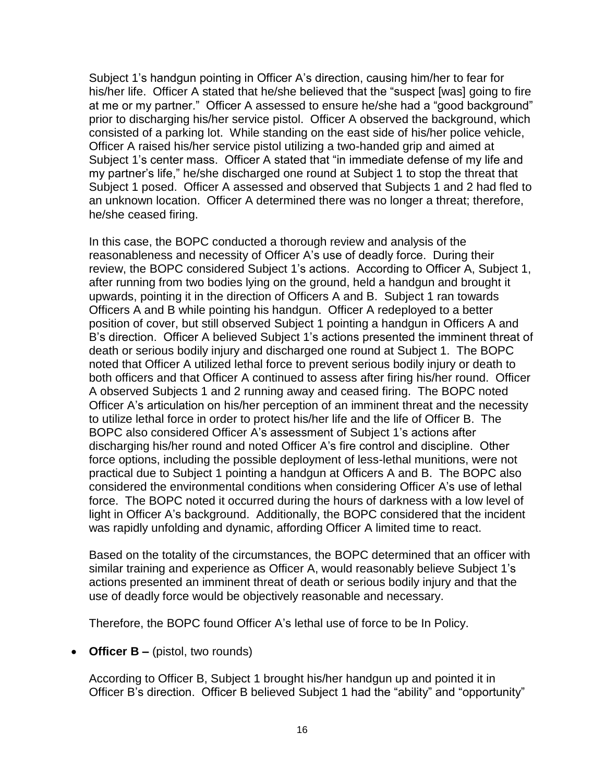Subject 1's handgun pointing in Officer A's direction, causing him/her to fear for his/her life. Officer A stated that he/she believed that the "suspect [was] going to fire at me or my partner." Officer A assessed to ensure he/she had a "good background" prior to discharging his/her service pistol. Officer A observed the background, which consisted of a parking lot. While standing on the east side of his/her police vehicle, Officer A raised his/her service pistol utilizing a two-handed grip and aimed at Subject 1's center mass. Officer A stated that "in immediate defense of my life and my partner's life," he/she discharged one round at Subject 1 to stop the threat that Subject 1 posed. Officer A assessed and observed that Subjects 1 and 2 had fled to an unknown location. Officer A determined there was no longer a threat; therefore, he/she ceased firing.

In this case, the BOPC conducted a thorough review and analysis of the reasonableness and necessity of Officer A's use of deadly force. During their review, the BOPC considered Subject 1's actions. According to Officer A, Subject 1, after running from two bodies lying on the ground, held a handgun and brought it upwards, pointing it in the direction of Officers A and B. Subject 1 ran towards Officers A and B while pointing his handgun. Officer A redeployed to a better position of cover, but still observed Subject 1 pointing a handgun in Officers A and B's direction. Officer A believed Subject 1's actions presented the imminent threat of death or serious bodily injury and discharged one round at Subject 1. The BOPC noted that Officer A utilized lethal force to prevent serious bodily injury or death to both officers and that Officer A continued to assess after firing his/her round. Officer A observed Subjects 1 and 2 running away and ceased firing. The BOPC noted Officer A's articulation on his/her perception of an imminent threat and the necessity to utilize lethal force in order to protect his/her life and the life of Officer B. The BOPC also considered Officer A's assessment of Subject 1's actions after discharging his/her round and noted Officer A's fire control and discipline. Other force options, including the possible deployment of less-lethal munitions, were not practical due to Subject 1 pointing a handgun at Officers A and B. The BOPC also considered the environmental conditions when considering Officer A's use of lethal force. The BOPC noted it occurred during the hours of darkness with a low level of light in Officer A's background. Additionally, the BOPC considered that the incident was rapidly unfolding and dynamic, affording Officer A limited time to react.

Based on the totality of the circumstances, the BOPC determined that an officer with similar training and experience as Officer A, would reasonably believe Subject 1's actions presented an imminent threat of death or serious bodily injury and that the use of deadly force would be objectively reasonable and necessary.

Therefore, the BOPC found Officer A's lethal use of force to be In Policy.

• **Officer B** – (pistol, two rounds)

According to Officer B, Subject 1 brought his/her handgun up and pointed it in Officer B's direction. Officer B believed Subject 1 had the "ability" and "opportunity"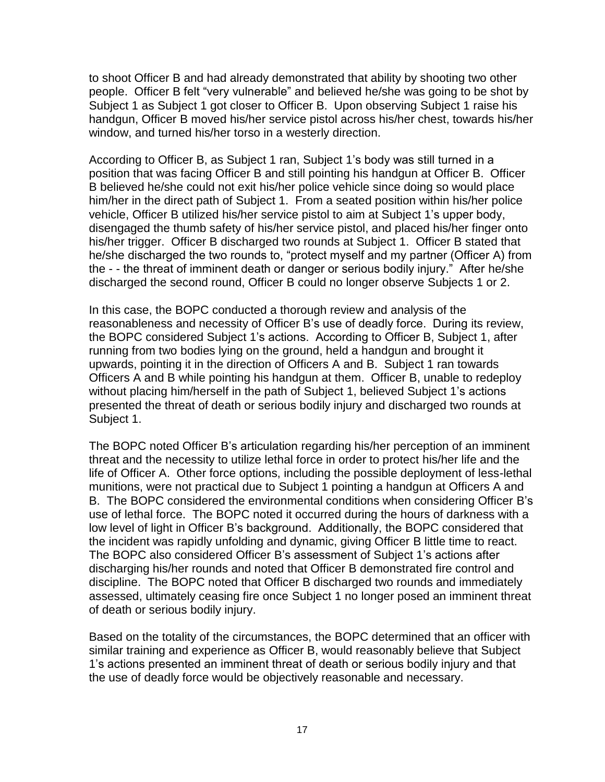to shoot Officer B and had already demonstrated that ability by shooting two other people. Officer B felt "very vulnerable" and believed he/she was going to be shot by Subject 1 as Subject 1 got closer to Officer B. Upon observing Subject 1 raise his handgun, Officer B moved his/her service pistol across his/her chest, towards his/her window, and turned his/her torso in a westerly direction.

According to Officer B, as Subject 1 ran, Subject 1's body was still turned in a position that was facing Officer B and still pointing his handgun at Officer B. Officer B believed he/she could not exit his/her police vehicle since doing so would place him/her in the direct path of Subject 1. From a seated position within his/her police vehicle, Officer B utilized his/her service pistol to aim at Subject 1's upper body, disengaged the thumb safety of his/her service pistol, and placed his/her finger onto his/her trigger. Officer B discharged two rounds at Subject 1. Officer B stated that he/she discharged the two rounds to, "protect myself and my partner (Officer A) from the - - the threat of imminent death or danger or serious bodily injury." After he/she discharged the second round, Officer B could no longer observe Subjects 1 or 2.

In this case, the BOPC conducted a thorough review and analysis of the reasonableness and necessity of Officer B's use of deadly force. During its review, the BOPC considered Subject 1's actions. According to Officer B, Subject 1, after running from two bodies lying on the ground, held a handgun and brought it upwards, pointing it in the direction of Officers A and B. Subject 1 ran towards Officers A and B while pointing his handgun at them. Officer B, unable to redeploy without placing him/herself in the path of Subject 1, believed Subject 1's actions presented the threat of death or serious bodily injury and discharged two rounds at Subject 1.

The BOPC noted Officer B's articulation regarding his/her perception of an imminent threat and the necessity to utilize lethal force in order to protect his/her life and the life of Officer A. Other force options, including the possible deployment of less-lethal munitions, were not practical due to Subject 1 pointing a handgun at Officers A and B. The BOPC considered the environmental conditions when considering Officer B's use of lethal force. The BOPC noted it occurred during the hours of darkness with a low level of light in Officer B's background. Additionally, the BOPC considered that the incident was rapidly unfolding and dynamic, giving Officer B little time to react. The BOPC also considered Officer B's assessment of Subject 1's actions after discharging his/her rounds and noted that Officer B demonstrated fire control and discipline. The BOPC noted that Officer B discharged two rounds and immediately assessed, ultimately ceasing fire once Subject 1 no longer posed an imminent threat of death or serious bodily injury.

Based on the totality of the circumstances, the BOPC determined that an officer with similar training and experience as Officer B, would reasonably believe that Subject 1's actions presented an imminent threat of death or serious bodily injury and that the use of deadly force would be objectively reasonable and necessary.